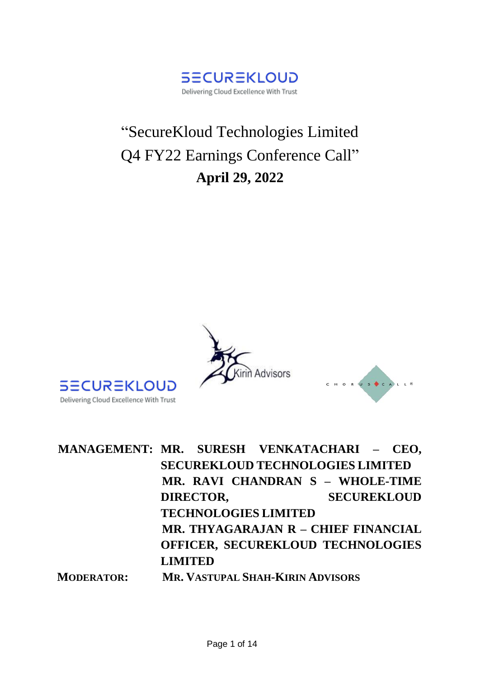

# "SecureKloud Technologies Limited Q4 FY22 Earnings Conference Call" **April 29, 2022**





| MANAGEMENT: MR. SURESH VENKATACHARI - CEO, |                |                                          |                    |  |
|--------------------------------------------|----------------|------------------------------------------|--------------------|--|
|                                            |                | <b>SECUREKLOUD TECHNOLOGIES LIMITED</b>  |                    |  |
|                                            |                | MR. RAVI CHANDRAN S - WHOLE-TIME         |                    |  |
|                                            | DIRECTOR,      |                                          | <b>SECUREKLOUD</b> |  |
|                                            |                | <b>TECHNOLOGIES LIMITED</b>              |                    |  |
|                                            |                | MR. THYAGARAJAN R - CHIEF FINANCIAL      |                    |  |
|                                            |                | <b>OFFICER, SECUREKLOUD TECHNOLOGIES</b> |                    |  |
|                                            | <b>LIMITED</b> |                                          |                    |  |
| <b>MODERATOR:</b>                          |                | <b>MR. VASTUPAL SHAH-KIRIN ADVISORS</b>  |                    |  |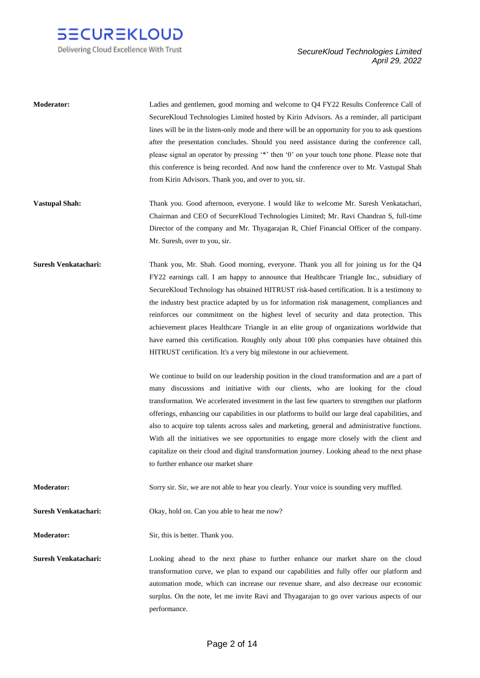

| <b>Moderator:</b>           | Ladies and gentlemen, good morning and welcome to Q4 FY22 Results Conference Call of<br>Secure Kloud Technologies Limited hosted by Kirin Advisors. As a reminder, all participant<br>lines will be in the listen-only mode and there will be an opportunity for you to ask questions<br>after the presentation concludes. Should you need assistance during the conference call,<br>please signal an operator by pressing '*' then '0' on your touch tone phone. Please note that<br>this conference is being recorded. And now hand the conference over to Mr. Vastupal Shah<br>from Kirin Advisors. Thank you, and over to you, sir.                                                                                                                                                                                                                                                                                                                                                                                                                                                                                                                                                                                                                                                                                                                                                                                                                           |
|-----------------------------|-------------------------------------------------------------------------------------------------------------------------------------------------------------------------------------------------------------------------------------------------------------------------------------------------------------------------------------------------------------------------------------------------------------------------------------------------------------------------------------------------------------------------------------------------------------------------------------------------------------------------------------------------------------------------------------------------------------------------------------------------------------------------------------------------------------------------------------------------------------------------------------------------------------------------------------------------------------------------------------------------------------------------------------------------------------------------------------------------------------------------------------------------------------------------------------------------------------------------------------------------------------------------------------------------------------------------------------------------------------------------------------------------------------------------------------------------------------------|
| <b>Vastupal Shah:</b>       | Thank you. Good afternoon, everyone. I would like to welcome Mr. Suresh Venkatachari,<br>Chairman and CEO of SecureKloud Technologies Limited; Mr. Ravi Chandran S, full-time<br>Director of the company and Mr. Thyagarajan R, Chief Financial Officer of the company.<br>Mr. Suresh, over to you, sir.                                                                                                                                                                                                                                                                                                                                                                                                                                                                                                                                                                                                                                                                                                                                                                                                                                                                                                                                                                                                                                                                                                                                                          |
| <b>Suresh Venkatachari:</b> | Thank you, Mr. Shah. Good morning, everyone. Thank you all for joining us for the Q4<br>FY22 earnings call. I am happy to announce that Healthcare Triangle Inc., subsidiary of<br>Secure Kloud Technology has obtained HITRUST risk-based certification. It is a testimony to<br>the industry best practice adapted by us for information risk management, compliances and<br>reinforces our commitment on the highest level of security and data protection. This<br>achievement places Healthcare Triangle in an elite group of organizations worldwide that<br>have earned this certification. Roughly only about 100 plus companies have obtained this<br>HITRUST certification. It's a very big milestone in our achievement.<br>We continue to build on our leadership position in the cloud transformation and are a part of<br>many discussions and initiative with our clients, who are looking for the cloud<br>transformation. We accelerated investment in the last few quarters to strengthen our platform<br>offerings, enhancing our capabilities in our platforms to build our large deal capabilities, and<br>also to acquire top talents across sales and marketing, general and administrative functions.<br>With all the initiatives we see opportunities to engage more closely with the client and<br>capitalize on their cloud and digital transformation journey. Looking ahead to the next phase<br>to further enhance our market share |
| <b>Moderator:</b>           | Sorry sir. Sir, we are not able to hear you clearly. Your voice is sounding very muffled.                                                                                                                                                                                                                                                                                                                                                                                                                                                                                                                                                                                                                                                                                                                                                                                                                                                                                                                                                                                                                                                                                                                                                                                                                                                                                                                                                                         |
| <b>Suresh Venkatachari:</b> | Okay, hold on. Can you able to hear me now?                                                                                                                                                                                                                                                                                                                                                                                                                                                                                                                                                                                                                                                                                                                                                                                                                                                                                                                                                                                                                                                                                                                                                                                                                                                                                                                                                                                                                       |
| Moderator:                  | Sir, this is better. Thank you.                                                                                                                                                                                                                                                                                                                                                                                                                                                                                                                                                                                                                                                                                                                                                                                                                                                                                                                                                                                                                                                                                                                                                                                                                                                                                                                                                                                                                                   |
| <b>Suresh Venkatachari:</b> | Looking ahead to the next phase to further enhance our market share on the cloud<br>transformation curve, we plan to expand our capabilities and fully offer our platform and<br>automation mode, which can increase our revenue share, and also decrease our economic<br>surplus. On the note, let me invite Ravi and Thyagarajan to go over various aspects of our<br>performance.                                                                                                                                                                                                                                                                                                                                                                                                                                                                                                                                                                                                                                                                                                                                                                                                                                                                                                                                                                                                                                                                              |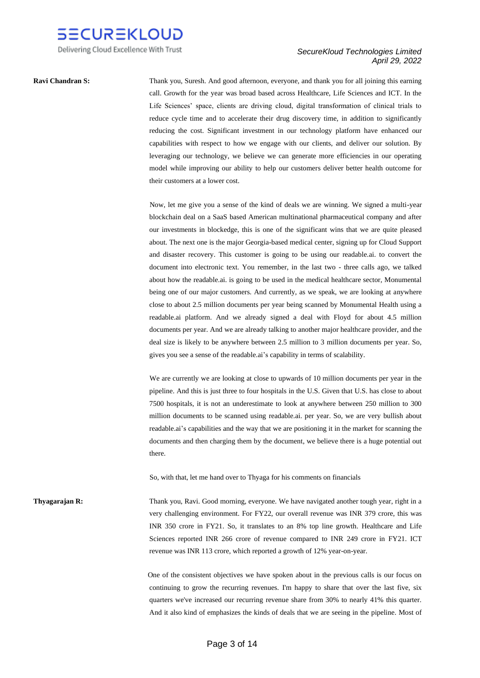

**Ravi Chandran S:** Thank you, Suresh. And good afternoon, everyone, and thank you for all joining this earning call. Growth for the year was broad based across Healthcare, Life Sciences and ICT. In the Life Sciences' space, clients are driving cloud, digital transformation of clinical trials to reduce cycle time and to accelerate their drug discovery time, in addition to significantly reducing the cost. Significant investment in our technology platform have enhanced our capabilities with respect to how we engage with our clients, and deliver our solution. By leveraging our technology, we believe we can generate more efficiencies in our operating model while improving our ability to help our customers deliver better health outcome for their customers at a lower cost.

> Now, let me give you a sense of the kind of deals we are winning. We signed a multi-year blockchain deal on a SaaS based American multinational pharmaceutical company and after our investments in blockedge, this is one of the significant wins that we are quite pleased about. The next one is the major Georgia-based medical center, signing up for Cloud Support and disaster recovery. This customer is going to be using our readable.ai. to convert the document into electronic text. You remember, in the last two - three calls ago, we talked about how the readable.ai. is going to be used in the medical healthcare sector, Monumental being one of our major customers. And currently, as we speak, we are looking at anywhere close to about 2.5 million documents per year being scanned by Monumental Health using a readable.ai platform. And we already signed a deal with Floyd for about 4.5 million documents per year. And we are already talking to another major healthcare provider, and the deal size is likely to be anywhere between 2.5 million to 3 million documents per year. So, gives you see a sense of the readable.ai's capability in terms of scalability.

> We are currently we are looking at close to upwards of 10 million documents per year in the pipeline. And this is just three to four hospitals in the U.S. Given that U.S. has close to about 7500 hospitals, it is not an underestimate to look at anywhere between 250 million to 300 million documents to be scanned using readable.ai. per year. So, we are very bullish about readable.ai's capabilities and the way that we are positioning it in the market for scanning the documents and then charging them by the document, we believe there is a huge potential out there.

So, with that, let me hand over to Thyaga for his comments on financials

**Thyagarajan R:** Thank you, Ravi. Good morning, everyone. We have navigated another tough year, right in a very challenging environment. For FY22, our overall revenue was INR 379 crore, this was INR 350 crore in FY21. So, it translates to an 8% top line growth. Healthcare and Life Sciences reported INR 266 crore of revenue compared to INR 249 crore in FY21. ICT revenue was INR 113 crore, which reported a growth of 12% year-on-year.

> One of the consistent objectives we have spoken about in the previous calls is our focus on continuing to grow the recurring revenues. I'm happy to share that over the last five, six quarters we've increased our recurring revenue share from 30% to nearly 41% this quarter. And it also kind of emphasizes the kinds of deals that we are seeing in the pipeline. Most of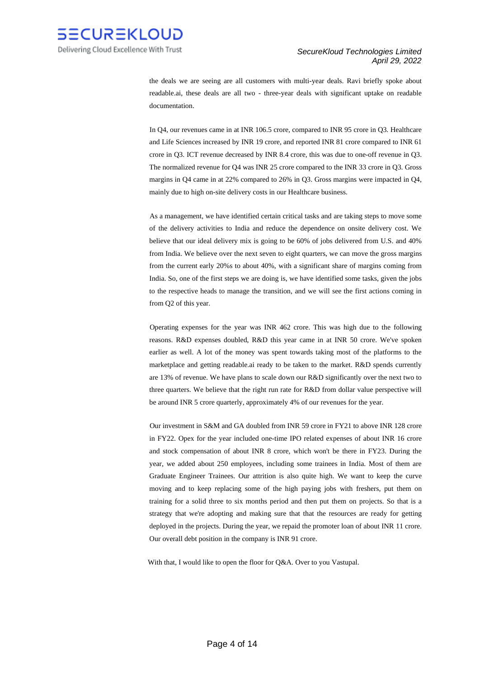

the deals we are seeing are all customers with multi-year deals. Ravi briefly spoke about readable.ai, these deals are all two - three-year deals with significant uptake on readable documentation.

 In Q4, our revenues came in at INR 106.5 crore, compared to INR 95 crore in Q3. Healthcare and Life Sciences increased by INR 19 crore, and reported INR 81 crore compared to INR 61 crore in Q3. ICT revenue decreased by INR 8.4 crore, this was due to one-off revenue in Q3. The normalized revenue for Q4 was INR 25 crore compared to the INR 33 crore in Q3. Gross margins in Q4 came in at 22% compared to 26% in Q3. Gross margins were impacted in Q4, mainly due to high on-site delivery costs in our Healthcare business.

 As a management, we have identified certain critical tasks and are taking steps to move some of the delivery activities to India and reduce the dependence on onsite delivery cost. We believe that our ideal delivery mix is going to be 60% of jobs delivered from U.S. and 40% from India. We believe over the next seven to eight quarters, we can move the gross margins from the current early 20%s to about 40%, with a significant share of margins coming from India. So, one of the first steps we are doing is, we have identified some tasks, given the jobs to the respective heads to manage the transition, and we will see the first actions coming in from Q2 of this year.

 Operating expenses for the year was INR 462 crore. This was high due to the following reasons. R&D expenses doubled, R&D this year came in at INR 50 crore. We've spoken earlier as well. A lot of the money was spent towards taking most of the platforms to the marketplace and getting readable.ai ready to be taken to the market. R&D spends currently are 13% of revenue. We have plans to scale down our R&D significantly over the next two to three quarters. We believe that the right run rate for R&D from dollar value perspective will be around INR 5 crore quarterly, approximately 4% of our revenues for the year.

 Our investment in S&M and GA doubled from INR 59 crore in FY21 to above INR 128 crore in FY22. Opex for the year included one-time IPO related expenses of about INR 16 crore and stock compensation of about INR 8 crore, which won't be there in FY23. During the year, we added about 250 employees, including some trainees in India. Most of them are Graduate Engineer Trainees. Our attrition is also quite high. We want to keep the curve moving and to keep replacing some of the high paying jobs with freshers, put them on training for a solid three to six months period and then put them on projects. So that is a strategy that we're adopting and making sure that that the resources are ready for getting deployed in the projects. During the year, we repaid the promoter loan of about INR 11 crore. Our overall debt position in the company is INR 91 crore.

With that, I would like to open the floor for Q&A. Over to you Vastupal.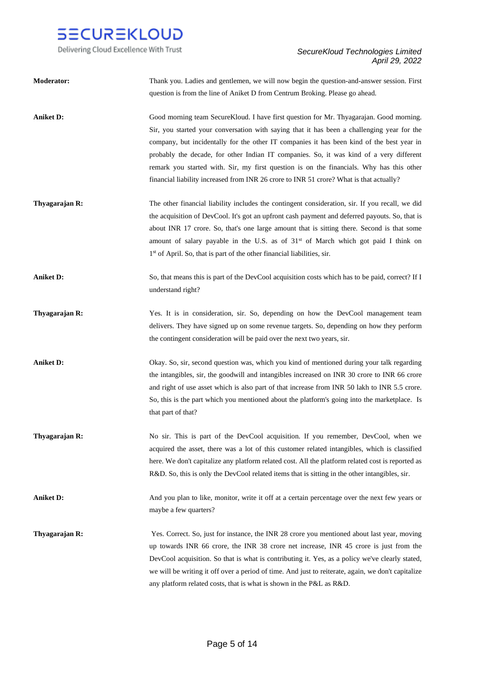

| <b>Moderator:</b> | Thank you. Ladies and gentlemen, we will now begin the question-and-answer session. First<br>question is from the line of Aniket D from Centrum Broking. Please go ahead.                                                                                                                                                                                                                                                                                                                                                                                            |
|-------------------|----------------------------------------------------------------------------------------------------------------------------------------------------------------------------------------------------------------------------------------------------------------------------------------------------------------------------------------------------------------------------------------------------------------------------------------------------------------------------------------------------------------------------------------------------------------------|
| <b>Aniket D:</b>  | Good morning team SecureKloud. I have first question for Mr. Thyagarajan. Good morning.<br>Sir, you started your conversation with saying that it has been a challenging year for the<br>company, but incidentally for the other IT companies it has been kind of the best year in<br>probably the decade, for other Indian IT companies. So, it was kind of a very different<br>remark you started with. Sir, my first question is on the financials. Why has this other<br>financial liability increased from INR 26 crore to INR 51 crore? What is that actually? |
| Thyagarajan R:    | The other financial liability includes the contingent consideration, sir. If you recall, we did<br>the acquisition of DevCool. It's got an upfront cash payment and deferred payouts. So, that is<br>about INR 17 crore. So, that's one large amount that is sitting there. Second is that some<br>amount of salary payable in the U.S. as of 31st of March which got paid I think on<br>1 <sup>st</sup> of April. So, that is part of the other financial liabilities, sir.                                                                                         |
| <b>Aniket D:</b>  | So, that means this is part of the DevCool acquisition costs which has to be paid, correct? If I<br>understand right?                                                                                                                                                                                                                                                                                                                                                                                                                                                |
| Thyagarajan R:    | Yes. It is in consideration, sir. So, depending on how the DevCool management team<br>delivers. They have signed up on some revenue targets. So, depending on how they perform<br>the contingent consideration will be paid over the next two years, sir.                                                                                                                                                                                                                                                                                                            |
| <b>Aniket D:</b>  | Okay. So, sir, second question was, which you kind of mentioned during your talk regarding<br>the intangibles, sir, the goodwill and intangibles increased on INR 30 crore to INR 66 crore<br>and right of use asset which is also part of that increase from INR 50 lakh to INR 5.5 crore.<br>So, this is the part which you mentioned about the platform's going into the marketplace. Is<br>that part of that?                                                                                                                                                    |
| Thyagarajan R:    | No sir. This is part of the DevCool acquisition. If you remember, DevCool, when we<br>acquired the asset, there was a lot of this customer related intangibles, which is classified<br>here. We don't capitalize any platform related cost. All the platform related cost is reported as<br>R&D. So, this is only the DevCool related items that is sitting in the other intangibles, sir.                                                                                                                                                                           |
| <b>Aniket D:</b>  | And you plan to like, monitor, write it off at a certain percentage over the next few years or<br>maybe a few quarters?                                                                                                                                                                                                                                                                                                                                                                                                                                              |
| Thyagarajan R:    | Yes. Correct. So, just for instance, the INR 28 crore you mentioned about last year, moving<br>up towards INR 66 crore, the INR 38 crore net increase, INR 45 crore is just from the<br>DevCool acquisition. So that is what is contributing it. Yes, as a policy we've clearly stated,<br>we will be writing it off over a period of time. And just to reiterate, again, we don't capitalize<br>any platform related costs, that is what is shown in the P&L as R&D.                                                                                                |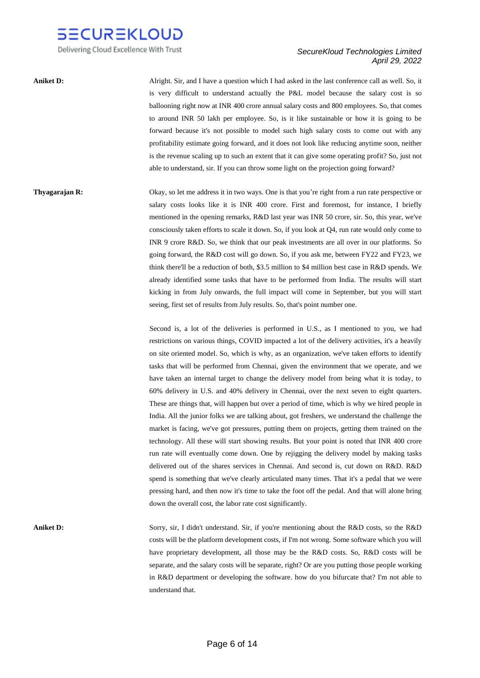

Delivering Cloud Excellence With Trust

# *SecureKloud Technologies Limited April 29, 2022*

**Aniket D:** Alright. Sir, and I have a question which I had asked in the last conference call as well. So, it is very difficult to understand actually the P&L model because the salary cost is so ballooning right now at INR 400 crore annual salary costs and 800 employees. So, that comes to around INR 50 lakh per employee. So, is it like sustainable or how it is going to be forward because it's not possible to model such high salary costs to come out with any profitability estimate going forward, and it does not look like reducing anytime soon, neither is the revenue scaling up to such an extent that it can give some operating profit? So, just not able to understand, sir. If you can throw some light on the projection going forward?

**Thyagarajan R:** Okay, so let me address it in two ways. One is that you're right from a run rate perspective or salary costs looks like it is INR 400 crore. First and foremost, for instance, I briefly mentioned in the opening remarks, R&D last year was INR 50 crore, sir. So, this year, we've consciously taken efforts to scale it down. So, if you look at Q4, run rate would only come to INR 9 crore R&D. So, we think that our peak investments are all over in our platforms. So going forward, the R&D cost will go down. So, if you ask me, between FY22 and FY23, we think there'll be a reduction of both, \$3.5 million to \$4 million best case in R&D spends. We already identified some tasks that have to be performed from India. The results will start kicking in from July onwards, the full impact will come in September, but you will start seeing, first set of results from July results. So, that's point number one.

> Second is, a lot of the deliveries is performed in U.S., as I mentioned to you, we had restrictions on various things, COVID impacted a lot of the delivery activities, it's a heavily on site oriented model. So, which is why, as an organization, we've taken efforts to identify tasks that will be performed from Chennai, given the environment that we operate, and we have taken an internal target to change the delivery model from being what it is today, to 60% delivery in U.S. and 40% delivery in Chennai, over the next seven to eight quarters. These are things that, will happen but over a period of time, which is why we hired people in India. All the junior folks we are talking about, got freshers, we understand the challenge the market is facing, we've got pressures, putting them on projects, getting them trained on the technology. All these will start showing results. But your point is noted that INR 400 crore run rate will eventually come down. One by rejigging the delivery model by making tasks delivered out of the shares services in Chennai. And second is, cut down on R&D. R&D spend is something that we've clearly articulated many times. That it's a pedal that we were pressing hard, and then now it's time to take the foot off the pedal. And that will alone bring down the overall cost, the labor rate cost significantly.

**Aniket D:** Sorry, sir, I didn't understand. Sir, if you're mentioning about the R&D costs, so the R&D costs will be the platform development costs, if I'm not wrong. Some software which you will have proprietary development, all those may be the R&D costs. So, R&D costs will be separate, and the salary costs will be separate, right? Or are you putting those people working in R&D department or developing the software. how do you bifurcate that? I'm not able to understand that.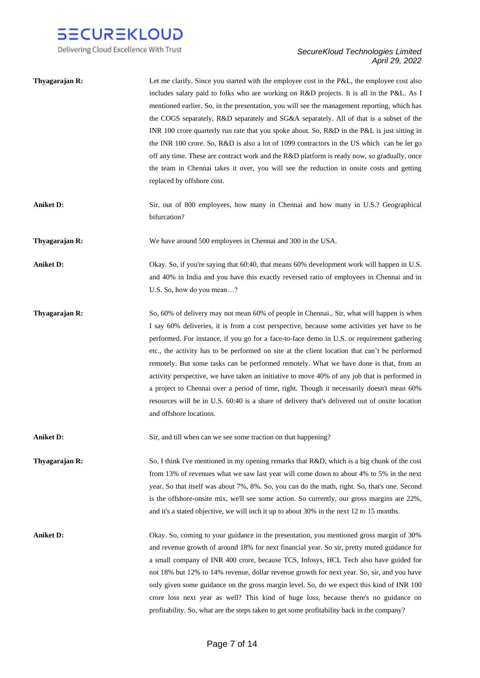

Delivering Cloud Excellence With Trust

# *SecureKloud Technologies Limited April 29, 2022*

| Thyagarajan R:   | Let me clarify. Since you started with the employee cost in the P&L, the employee cost also<br>includes salary paid to folks who are working on R&D projects. It is all in the P&L. As I<br>mentioned earlier. So, in the presentation, you will see the management reporting, which has<br>the COGS separately, R&D separately and SG&A separately. All of that is a subset of the<br>INR 100 crore quarterly run rate that you spoke about. So, R&D in the P&L is just sitting in<br>the INR 100 crore. So, R&D is also a lot of 1099 contractors in the US which can be let go<br>off any time. These are contract work and the R&D platform is ready now, so gradually, once<br>the team in Chennai takes it over, you will see the reduction in onsite costs and getting<br>replaced by offshore cost.   |
|------------------|---------------------------------------------------------------------------------------------------------------------------------------------------------------------------------------------------------------------------------------------------------------------------------------------------------------------------------------------------------------------------------------------------------------------------------------------------------------------------------------------------------------------------------------------------------------------------------------------------------------------------------------------------------------------------------------------------------------------------------------------------------------------------------------------------------------|
| <b>Aniket D:</b> | Sir, out of 800 employees, how many in Chennai and how many in U.S.? Geographical<br>bifurcation?                                                                                                                                                                                                                                                                                                                                                                                                                                                                                                                                                                                                                                                                                                             |
| Thyagarajan R:   | We have around 500 employees in Chennai and 300 in the USA.                                                                                                                                                                                                                                                                                                                                                                                                                                                                                                                                                                                                                                                                                                                                                   |
| <b>Aniket D:</b> | Okay. So, if you're saying that 60:40, that means 60% development work will happen in U.S.<br>and 40% in India and you have this exactly reversed ratio of employees in Chennai and in<br>U.S. So, how do you mean?                                                                                                                                                                                                                                                                                                                                                                                                                                                                                                                                                                                           |
| Thyagarajan R:   | So, 60% of delivery may not mean 60% of people in Chennai., Sir, what will happen is when<br>I say 60% deliveries, it is from a cost perspective, because some activities yet have to be<br>performed. For instance, if you go for a face-to-face demo in U.S. or requirement gathering<br>etc., the activity has to be performed on site at the client location that can't be performed<br>remotely. But some tasks can be performed remotely. What we have done is that, from an<br>activity perspective, we have taken an initiative to move 40% of any job that is performed in<br>a project to Chennai over a period of time, right. Though it necessarily doesn't mean 60%<br>resources will be in U.S. 60:40 is a share of delivery that's delivered out of onsite location<br>and offshore locations. |
| <b>Aniket D:</b> | Sir, and till when can we see some traction on that happening?                                                                                                                                                                                                                                                                                                                                                                                                                                                                                                                                                                                                                                                                                                                                                |
| Thyagarajan R:   | So, I think I've mentioned in my opening remarks that R&D, which is a big chunk of the cost<br>from 13% of revenues what we saw last year will come down to about 4% to 5% in the next<br>year. So that itself was about 7%, 8%. So, you can do the math, right. So, that's one. Second<br>is the offshore-onsite mix, we'll see some action. So currently, our gross margins are 22%,<br>and it's a stated objective, we will inch it up to about 30% in the next 12 to 15 months.                                                                                                                                                                                                                                                                                                                           |
| <b>Aniket D:</b> | Okay. So, coming to your guidance in the presentation, you mentioned gross margin of 30%<br>and revenue growth of around 18% for next financial year. So sir, pretty muted guidance for<br>a small company of INR 400 crore, because TCS, Infosys, HCL Tech also have guided for<br>not 18% but 12% to 14% revenue, dollar revenue growth for next year. So, sir, and you have<br>only given some guidance on the gross margin level. So, do we expect this kind of INR 100<br>crore loss next year as well? This kind of huge loss, because there's no guidance on<br>profitability. So, what are the steps taken to get some profitability back in the company?                                                                                                                                             |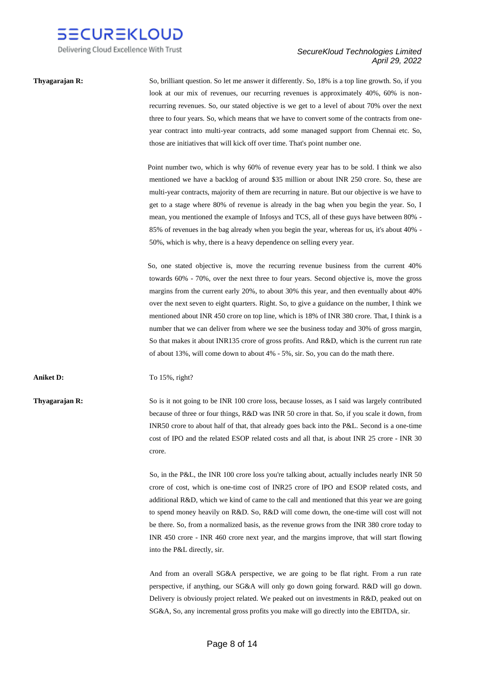

**Thyagarajan R:** So, brilliant question. So let me answer it differently. So, 18% is a top line growth. So, if you look at our mix of revenues, our recurring revenues is approximately 40%, 60% is nonrecurring revenues. So, our stated objective is we get to a level of about 70% over the next three to four years. So, which means that we have to convert some of the contracts from oneyear contract into multi-year contracts, add some managed support from Chennai etc. So, those are initiatives that will kick off over time. That's point number one.

> Point number two, which is why 60% of revenue every year has to be sold. I think we also mentioned we have a backlog of around \$35 million or about INR 250 crore. So, these are multi-year contracts, majority of them are recurring in nature. But our objective is we have to get to a stage where 80% of revenue is already in the bag when you begin the year. So, I mean, you mentioned the example of Infosys and TCS, all of these guys have between 80% - 85% of revenues in the bag already when you begin the year, whereas for us, it's about 40% - 50%, which is why, there is a heavy dependence on selling every year.

> So, one stated objective is, move the recurring revenue business from the current 40% towards 60% - 70%, over the next three to four years. Second objective is, move the gross margins from the current early 20%, to about 30% this year, and then eventually about 40% over the next seven to eight quarters. Right. So, to give a guidance on the number, I think we mentioned about INR 450 crore on top line, which is 18% of INR 380 crore. That, I think is a number that we can deliver from where we see the business today and 30% of gross margin, So that makes it about INR135 crore of gross profits. And R&D, which is the current run rate of about 13%, will come down to about 4% - 5%, sir. So, you can do the math there.

**Aniket D:** To 15%, right?

**Thyagarajan R:** So is it not going to be INR 100 crore loss, because losses, as I said was largely contributed because of three or four things, R&D was INR 50 crore in that. So, if you scale it down, from INR50 crore to about half of that, that already goes back into the P&L. Second is a one-time cost of IPO and the related ESOP related costs and all that, is about INR 25 crore - INR 30 crore.

> So, in the P&L, the INR 100 crore loss you're talking about, actually includes nearly INR 50 crore of cost, which is one-time cost of INR25 crore of IPO and ESOP related costs, and additional R&D, which we kind of came to the call and mentioned that this year we are going to spend money heavily on R&D. So, R&D will come down, the one-time will cost will not be there. So, from a normalized basis, as the revenue grows from the INR 380 crore today to INR 450 crore - INR 460 crore next year, and the margins improve, that will start flowing into the P&L directly, sir.

> And from an overall SG&A perspective, we are going to be flat right. From a run rate perspective, if anything, our SG&A will only go down going forward. R&D will go down. Delivery is obviously project related. We peaked out on investments in R&D, peaked out on SG&A, So, any incremental gross profits you make will go directly into the EBITDA, sir.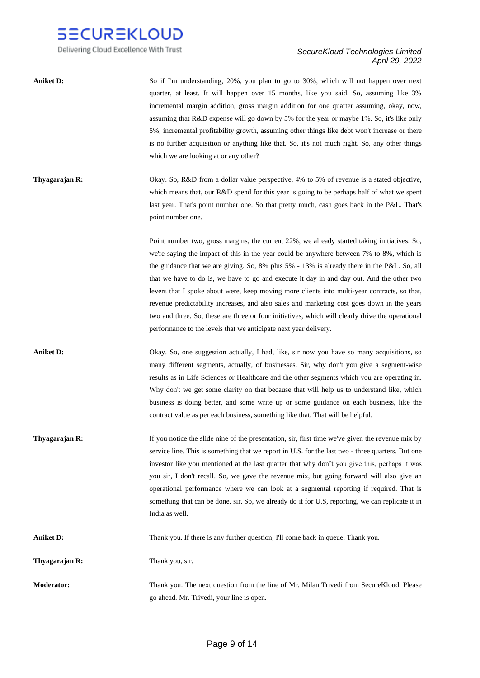

Delivering Cloud Excellence With Trust

| <b>Aniket D:</b>  | So if I'm understanding, 20%, you plan to go to 30%, which will not happen over next<br>quarter, at least. It will happen over 15 months, like you said. So, assuming like 3%<br>incremental margin addition, gross margin addition for one quarter assuming, okay, now,<br>assuming that R&D expense will go down by 5% for the year or maybe 1%. So, it's like only<br>5%, incremental profitability growth, assuming other things like debt won't increase or there<br>is no further acquisition or anything like that. So, it's not much right. So, any other things<br>which we are looking at or any other?                                                                                                                                         |
|-------------------|-----------------------------------------------------------------------------------------------------------------------------------------------------------------------------------------------------------------------------------------------------------------------------------------------------------------------------------------------------------------------------------------------------------------------------------------------------------------------------------------------------------------------------------------------------------------------------------------------------------------------------------------------------------------------------------------------------------------------------------------------------------|
| Thyagarajan R:    | Okay. So, R&D from a dollar value perspective, 4% to 5% of revenue is a stated objective,<br>which means that, our R&D spend for this year is going to be perhaps half of what we spent<br>last year. That's point number one. So that pretty much, cash goes back in the P&L. That's<br>point number one.                                                                                                                                                                                                                                                                                                                                                                                                                                                |
|                   | Point number two, gross margins, the current 22%, we already started taking initiatives. So,<br>we're saying the impact of this in the year could be anywhere between 7% to 8%, which is<br>the guidance that we are giving. So, 8% plus 5% - 13% is already there in the P&L. So, all<br>that we have to do is, we have to go and execute it day in and day out. And the other two<br>levers that I spoke about were, keep moving more clients into multi-year contracts, so that,<br>revenue predictability increases, and also sales and marketing cost goes down in the years<br>two and three. So, these are three or four initiatives, which will clearly drive the operational<br>performance to the levels that we anticipate next year delivery. |
| <b>Aniket D:</b>  | Okay. So, one suggestion actually, I had, like, sir now you have so many acquisitions, so<br>many different segments, actually, of businesses. Sir, why don't you give a segment-wise<br>results as in Life Sciences or Healthcare and the other segments which you are operating in.<br>Why don't we get some clarity on that because that will help us to understand like, which<br>business is doing better, and some write up or some guidance on each business, like the<br>contract value as per each business, something like that. That will be helpful.                                                                                                                                                                                          |
| Thyagarajan R:    | If you notice the slide nine of the presentation, sir, first time we've given the revenue mix by<br>service line. This is something that we report in U.S. for the last two - three quarters. But one<br>investor like you mentioned at the last quarter that why don't you give this, perhaps it was<br>you sir, I don't recall. So, we gave the revenue mix, but going forward will also give an<br>operational performance where we can look at a segmental reporting if required. That is<br>something that can be done, sir. So, we already do it for U.S, reporting, we can replicate it in<br>India as well.                                                                                                                                       |
| <b>Aniket D:</b>  | Thank you. If there is any further question, I'll come back in queue. Thank you.                                                                                                                                                                                                                                                                                                                                                                                                                                                                                                                                                                                                                                                                          |
| Thyagarajan R:    | Thank you, sir.                                                                                                                                                                                                                                                                                                                                                                                                                                                                                                                                                                                                                                                                                                                                           |
| <b>Moderator:</b> | Thank you. The next question from the line of Mr. Milan Trivedi from SecureKloud. Please<br>go ahead. Mr. Trivedi, your line is open.                                                                                                                                                                                                                                                                                                                                                                                                                                                                                                                                                                                                                     |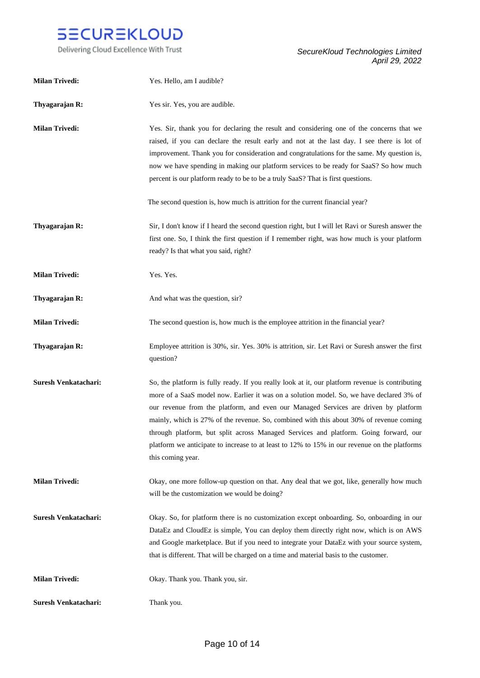

| <b>Milan Trivedi:</b> | Yes. Hello, am I audible?                                                                                                                                                                                                                                                                                                                                                                                                                                                                                                                                                                  |
|-----------------------|--------------------------------------------------------------------------------------------------------------------------------------------------------------------------------------------------------------------------------------------------------------------------------------------------------------------------------------------------------------------------------------------------------------------------------------------------------------------------------------------------------------------------------------------------------------------------------------------|
| Thyagarajan R:        | Yes sir. Yes, you are audible.                                                                                                                                                                                                                                                                                                                                                                                                                                                                                                                                                             |
| <b>Milan Trivedi:</b> | Yes. Sir, thank you for declaring the result and considering one of the concerns that we<br>raised, if you can declare the result early and not at the last day. I see there is lot of<br>improvement. Thank you for consideration and congratulations for the same. My question is,<br>now we have spending in making our platform services to be ready for SaaS? So how much<br>percent is our platform ready to be to be a truly SaaS? That is first questions.                                                                                                                         |
|                       | The second question is, how much is attrition for the current financial year?                                                                                                                                                                                                                                                                                                                                                                                                                                                                                                              |
| Thyagarajan R:        | Sir, I don't know if I heard the second question right, but I will let Ravi or Suresh answer the<br>first one. So, I think the first question if I remember right, was how much is your platform<br>ready? Is that what you said, right?                                                                                                                                                                                                                                                                                                                                                   |
| <b>Milan Trivedi:</b> | Yes. Yes.                                                                                                                                                                                                                                                                                                                                                                                                                                                                                                                                                                                  |
| Thyagarajan R:        | And what was the question, sir?                                                                                                                                                                                                                                                                                                                                                                                                                                                                                                                                                            |
| <b>Milan Trivedi:</b> | The second question is, how much is the employee attrition in the financial year?                                                                                                                                                                                                                                                                                                                                                                                                                                                                                                          |
| Thyagarajan R:        | Employee attrition is 30%, sir. Yes. 30% is attrition, sir. Let Ravi or Suresh answer the first<br>question?                                                                                                                                                                                                                                                                                                                                                                                                                                                                               |
| Suresh Venkatachari:  | So, the platform is fully ready. If you really look at it, our platform revenue is contributing<br>more of a SaaS model now. Earlier it was on a solution model. So, we have declared 3% of<br>our revenue from the platform, and even our Managed Services are driven by platform<br>mainly, which is 27% of the revenue. So, combined with this about 30% of revenue coming<br>through platform, but split across Managed Services and platform. Going forward, our<br>platform we anticipate to increase to at least to 12% to 15% in our revenue on the platforms<br>this coming year. |
| <b>Milan Trivedi:</b> | Okay, one more follow-up question on that. Any deal that we got, like, generally how much<br>will be the customization we would be doing?                                                                                                                                                                                                                                                                                                                                                                                                                                                  |
| Suresh Venkatachari:  | Okay. So, for platform there is no customization except onboarding. So, onboarding in our<br>DataEz and CloudEz is simple, You can deploy them directly right now, which is on AWS<br>and Google marketplace. But if you need to integrate your DataEz with your source system,<br>that is different. That will be charged on a time and material basis to the customer.                                                                                                                                                                                                                   |
| <b>Milan Trivedi:</b> | Okay. Thank you. Thank you, sir.                                                                                                                                                                                                                                                                                                                                                                                                                                                                                                                                                           |
| Suresh Venkatachari:  | Thank you.                                                                                                                                                                                                                                                                                                                                                                                                                                                                                                                                                                                 |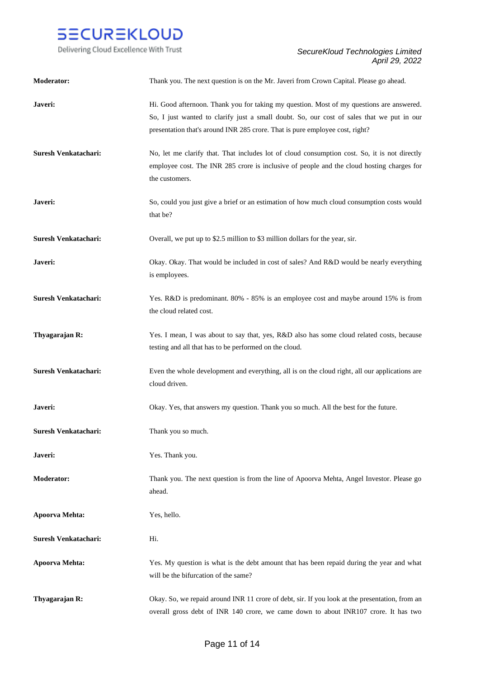

| Moderator:                  | Thank you. The next question is on the Mr. Javeri from Crown Capital. Please go ahead.                                                                                                                                                                                |
|-----------------------------|-----------------------------------------------------------------------------------------------------------------------------------------------------------------------------------------------------------------------------------------------------------------------|
| Javeri:                     | Hi. Good afternoon. Thank you for taking my question. Most of my questions are answered.<br>So, I just wanted to clarify just a small doubt. So, our cost of sales that we put in our<br>presentation that's around INR 285 crore. That is pure employee cost, right? |
| <b>Suresh Venkatachari:</b> | No, let me clarify that. That includes lot of cloud consumption cost. So, it is not directly<br>employee cost. The INR 285 crore is inclusive of people and the cloud hosting charges for<br>the customers.                                                           |
| Javeri:                     | So, could you just give a brief or an estimation of how much cloud consumption costs would<br>that be?                                                                                                                                                                |
| <b>Suresh Venkatachari:</b> | Overall, we put up to \$2.5 million to \$3 million dollars for the year, sir.                                                                                                                                                                                         |
| Javeri:                     | Okay. Okay. That would be included in cost of sales? And R&D would be nearly everything<br>is employees.                                                                                                                                                              |
| Suresh Venkatachari:        | Yes. R&D is predominant. 80% - 85% is an employee cost and maybe around 15% is from<br>the cloud related cost.                                                                                                                                                        |
| Thyagarajan R:              | Yes. I mean, I was about to say that, yes, R&D also has some cloud related costs, because<br>testing and all that has to be performed on the cloud.                                                                                                                   |
| Suresh Venkatachari:        | Even the whole development and everything, all is on the cloud right, all our applications are<br>cloud driven.                                                                                                                                                       |
| Javeri:                     | Okay. Yes, that answers my question. Thank you so much. All the best for the future.                                                                                                                                                                                  |
| Suresh Venkatachari:        | Thank you so much.                                                                                                                                                                                                                                                    |
| Javeri:                     | Yes. Thank you.                                                                                                                                                                                                                                                       |
| <b>Moderator:</b>           | Thank you. The next question is from the line of Apoorva Mehta, Angel Investor. Please go<br>ahead.                                                                                                                                                                   |
| Apoorva Mehta:              | Yes, hello.                                                                                                                                                                                                                                                           |
| Suresh Venkatachari:        | Hi.                                                                                                                                                                                                                                                                   |
| Apoorva Mehta:              | Yes. My question is what is the debt amount that has been repaid during the year and what<br>will be the bifurcation of the same?                                                                                                                                     |
| Thyagarajan R:              | Okay. So, we repaid around INR 11 crore of debt, sir. If you look at the presentation, from an<br>overall gross debt of INR 140 crore, we came down to about INR107 crore. It has two                                                                                 |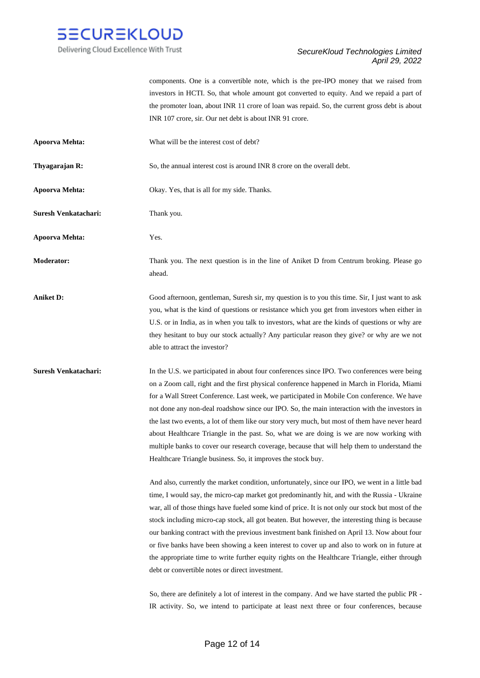

components. One is a convertible note, which is the pre-IPO money that we raised from investors in HCTI. So, that whole amount got converted to equity. And we repaid a part of the promoter loan, about INR 11 crore of loan was repaid. So, the current gross debt is about INR 107 crore, sir. Our net debt is about INR 91 crore.

**Apoorva Mehta:** What will be the interest cost of debt?

**Thyagarajan R:** So, the annual interest cost is around INR 8 crore on the overall debt.

**Apoorva Mehta:** Okay. Yes, that is all for my side. Thanks.

**Suresh Venkatachari:** Thank you.

**Apoorva Mehta:** Yes.

**Moderator:** Thank you. The next question is in the line of Aniket D from Centrum broking. Please go ahead.

**Aniket D:** Good afternoon, gentleman, Suresh sir, my question is to you this time. Sir, I just want to ask you, what is the kind of questions or resistance which you get from investors when either in U.S. or in India, as in when you talk to investors, what are the kinds of questions or why are they hesitant to buy our stock actually? Any particular reason they give? or why are we not able to attract the investor?

**Suresh Venkatachari:** In the U.S. we participated in about four conferences since IPO. Two conferences were being on a Zoom call, right and the first physical conference happened in March in Florida, Miami for a Wall Street Conference. Last week, we participated in Mobile Con conference. We have not done any non-deal roadshow since our IPO. So, the main interaction with the investors in the last two events, a lot of them like our story very much, but most of them have never heard about Healthcare Triangle in the past. So, what we are doing is we are now working with multiple banks to cover our research coverage, because that will help them to understand the Healthcare Triangle business. So, it improves the stock buy.

> And also, currently the market condition, unfortunately, since our IPO, we went in a little bad time, I would say, the micro-cap market got predominantly hit, and with the Russia - Ukraine war, all of those things have fueled some kind of price. It is not only our stock but most of the stock including micro-cap stock, all got beaten. But however, the interesting thing is because our banking contract with the previous investment bank finished on April 13. Now about four or five banks have been showing a keen interest to cover up and also to work on in future at the appropriate time to write further equity rights on the Healthcare Triangle, either through debt or convertible notes or direct investment.

> So, there are definitely a lot of interest in the company. And we have started the public PR - IR activity. So, we intend to participate at least next three or four conferences, because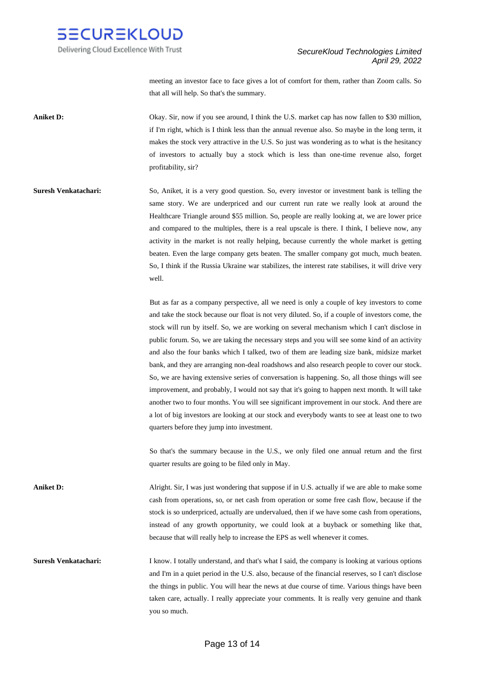

meeting an investor face to face gives a lot of comfort for them, rather than Zoom calls. So that all will help. So that's the summary.

**Aniket D:** Okay. Sir, now if you see around, I think the U.S. market cap has now fallen to \$30 million, if I'm right, which is I think less than the annual revenue also. So maybe in the long term, it makes the stock very attractive in the U.S. So just was wondering as to what is the hesitancy of investors to actually buy a stock which is less than one-time revenue also, forget profitability, sir?

**Suresh Venkatachari:** So, Aniket, it is a very good question. So, every investor or investment bank is telling the same story. We are underpriced and our current run rate we really look at around the Healthcare Triangle around \$55 million. So, people are really looking at, we are lower price and compared to the multiples, there is a real upscale is there. I think, I believe now, any activity in the market is not really helping, because currently the whole market is getting beaten. Even the large company gets beaten. The smaller company got much, much beaten. So, I think if the Russia Ukraine war stabilizes, the interest rate stabilises, it will drive very well.

> But as far as a company perspective, all we need is only a couple of key investors to come and take the stock because our float is not very diluted. So, if a couple of investors come, the stock will run by itself. So, we are working on several mechanism which I can't disclose in public forum. So, we are taking the necessary steps and you will see some kind of an activity and also the four banks which I talked, two of them are leading size bank, midsize market bank, and they are arranging non-deal roadshows and also research people to cover our stock. So, we are having extensive series of conversation is happening. So, all those things will see improvement, and probably, I would not say that it's going to happen next month. It will take another two to four months. You will see significant improvement in our stock. And there are a lot of big investors are looking at our stock and everybody wants to see at least one to two quarters before they jump into investment.

> So that's the summary because in the U.S., we only filed one annual return and the first quarter results are going to be filed only in May.

**Aniket D:** Alright. Sir, I was just wondering that suppose if in U.S. actually if we are able to make some cash from operations, so, or net cash from operation or some free cash flow, because if the stock is so underpriced, actually are undervalued, then if we have some cash from operations, instead of any growth opportunity, we could look at a buyback or something like that, because that will really help to increase the EPS as well whenever it comes.

**Suresh Venkatachari:** I know. I totally understand, and that's what I said, the company is looking at various options and I'm in a quiet period in the U.S. also, because of the financial reserves, so I can't disclose the things in public. You will hear the news at due course of time. Various things have been taken care, actually. I really appreciate your comments. It is really very genuine and thank you so much.